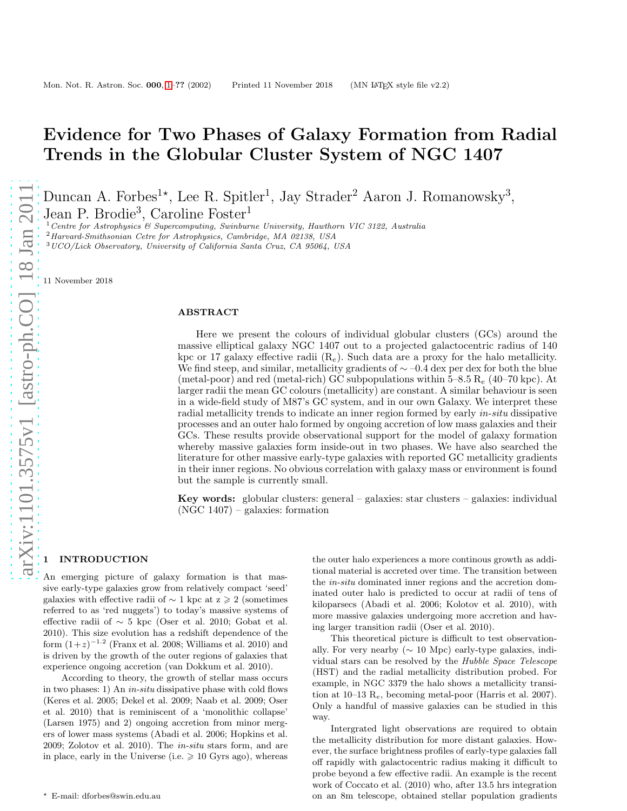# Evidence for Two Phases of Galaxy Formation from Radial Trends in the Globular Cluster System of NGC 1407

Duncan A. Forbes<sup>1\*</sup>, Lee R. Spitler<sup>1</sup>, Jay Strader<sup>2</sup> Aaron J. Romanowsky<sup>3</sup>,

Jean P. Brodie<sup>3</sup>, Caroline Foster<sup>1</sup>

 $1$  Centre for Astrophysics  $\mathcal{B}$  Supercomputing, Swinburne University, Hawthorn VIC 3122, Australia

<sup>2</sup>Harvard-Smithsonian Cetre for Astrophysics, Cambridge, MA 02138, USA

<sup>3</sup>UCO/Lick Observatory, University of California Santa Cruz, CA 95064, USA

11 November 2018

## ABSTRACT

Here we present the colours of individual globular clusters (GCs) around the massive elliptical galaxy NGC 1407 out to a projected galactocentric radius of 140 kpc or 17 galaxy effective radii  $(R_e)$ . Such data are a proxy for the halo metallicity. We find steep, and similar, metallicity gradients of  $\sim$  –0.4 dex per dex for both the blue (metal-poor) and red (metal-rich) GC subpopulations within  $5-8.5$  R<sub>e</sub> (40–70 kpc). At larger radii the mean GC colours (metallicity) are constant. A similar behaviour is seen in a wide-field study of M87's GC system, and in our own Galaxy. We interpret these radial metallicity trends to indicate an inner region formed by early in-situ dissipative processes and an outer halo formed by ongoing accretion of low mass galaxies and their GCs. These results provide observational support for the model of galaxy formation whereby massive galaxies form inside-out in two phases. We have also searched the literature for other massive early-type galaxies with reported GC metallicity gradients in their inner regions. No obvious correlation with galaxy mass or environment is found but the sample is currently small.

Key words: globular clusters: general – galaxies: star clusters – galaxies: individual (NGC 1407) – galaxies: formation

## **INTRODUCTION**

An emerging picture of galaxy formation is that massive early-type galaxies grow from relatively compact 'seed' galaxies with effective radii of  $\sim$  1 kpc at z  $\geq 2$  (sometimes) referred to as 'red nuggets') to today's massive systems of effective radii of ∼ 5 kpc (Oser et al. 2010; Gobat et al. 2010). This size evolution has a redshift dependence of the form  $(1+z)^{-1.2}$  (Franx et al. 2008; Williams et al. 2010) and is driven by the growth of the outer regions of galaxies that experience ongoing accretion (van Dokkum et al. 2010).

According to theory, the growth of stellar mass occurs in two phases: 1) An in-situ dissipative phase with cold flows (Keres et al. 2005; Dekel et al. 2009; Naab et al. 2009; Oser et al. 2010) that is reminiscent of a 'monolithic collapse' (Larsen 1975) and 2) ongoing accretion from minor mergers of lower mass systems (Abadi et al. 2006; Hopkins et al. 2009; Zolotov et al. 2010). The in-situ stars form, and are in place, early in the Universe (i.e.  $\geq 10$  Gyrs ago), whereas

the outer halo experiences a more continous growth as additional material is accreted over time. The transition between the in-situ dominated inner regions and the accretion dominated outer halo is predicted to occur at radii of tens of kiloparsecs (Abadi et al. 2006; Kolotov et al. 2010), with more massive galaxies undergoing more accretion and having larger transition radii (Oser et al. 2010).

This theoretical picture is difficult to test observationally. For very nearby (∼ 10 Mpc) early-type galaxies, individual stars can be resolved by the Hubble Space Telescope (HST) and the radial metallicity distribution probed. For example, in NGC 3379 the halo shows a metallicity transition at 10–13  $R_e$ , becoming metal-poor (Harris et al. 2007). Only a handful of massive galaxies can be studied in this way.

Intergrated light observations are required to obtain the metallicity distribution for more distant galaxies. However, the surface brightness profiles of early-type galaxies fall off rapidly with galactocentric radius making it difficult to probe beyond a few effective radii. An example is the recent work of Coccato et al. (2010) who, after 13.5 hrs integration on an 8m telescope, obtained stellar population gradients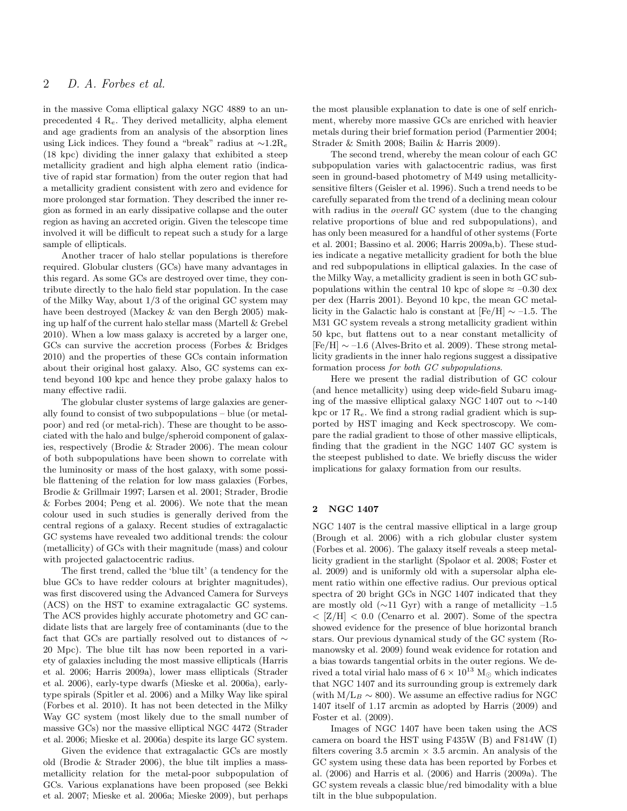in the massive Coma elliptical galaxy NGC 4889 to an unprecedented 4  $R_e$ . They derived metallicity, alpha element and age gradients from an analysis of the absorption lines using Lick indices. They found a "break" radius at  $\sim 1.2R_e$ (18 kpc) dividing the inner galaxy that exhibited a steep metallicity gradient and high alpha element ratio (indicative of rapid star formation) from the outer region that had a metallicity gradient consistent with zero and evidence for more prolonged star formation. They described the inner region as formed in an early dissipative collapse and the outer region as having an accreted origin. Given the telescope time involved it will be difficult to repeat such a study for a large sample of ellipticals.

Another tracer of halo stellar populations is therefore required. Globular clusters (GCs) have many advantages in this regard. As some GCs are destroyed over time, they contribute directly to the halo field star population. In the case of the Milky Way, about 1/3 of the original GC system may have been destroyed (Mackey & van den Bergh 2005) making up half of the current halo stellar mass (Martell & Grebel 2010). When a low mass galaxy is accreted by a larger one, GCs can survive the accretion process (Forbes & Bridges 2010) and the properties of these GCs contain information about their original host galaxy. Also, GC systems can extend beyond 100 kpc and hence they probe galaxy halos to many effective radii.

The globular cluster systems of large galaxies are generally found to consist of two subpopulations – blue (or metalpoor) and red (or metal-rich). These are thought to be associated with the halo and bulge/spheroid component of galaxies, respectively (Brodie & Strader 2006). The mean colour of both subpopulations have been shown to correlate with the luminosity or mass of the host galaxy, with some possible flattening of the relation for low mass galaxies (Forbes, Brodie & Grillmair 1997; Larsen et al. 2001; Strader, Brodie & Forbes 2004; Peng et al. 2006). We note that the mean colour used in such studies is generally derived from the central regions of a galaxy. Recent studies of extragalactic GC systems have revealed two additional trends: the colour (metallicity) of GCs with their magnitude (mass) and colour with projected galactocentric radius.

The first trend, called the 'blue tilt' (a tendency for the blue GCs to have redder colours at brighter magnitudes), was first discovered using the Advanced Camera for Surveys (ACS) on the HST to examine extragalactic GC systems. The ACS provides highly accurate photometry and GC candidate lists that are largely free of contaminants (due to the fact that GCs are partially resolved out to distances of ∼ 20 Mpc). The blue tilt has now been reported in a variety of galaxies including the most massive ellipticals (Harris et al. 2006; Harris 2009a), lower mass ellipticals (Strader et al. 2006), early-type dwarfs (Mieske et al. 2006a), earlytype spirals (Spitler et al. 2006) and a Milky Way like spiral (Forbes et al. 2010). It has not been detected in the Milky Way GC system (most likely due to the small number of massive GCs) nor the massive elliptical NGC 4472 (Strader et al. 2006; Mieske et al. 2006a) despite its large GC system.

Given the evidence that extragalactic GCs are mostly old (Brodie & Strader 2006), the blue tilt implies a massmetallicity relation for the metal-poor subpopulation of GCs. Various explanations have been proposed (see Bekki et al. 2007; Mieske et al. 2006a; Mieske 2009), but perhaps the most plausible explanation to date is one of self enrichment, whereby more massive GCs are enriched with heavier metals during their brief formation period (Parmentier 2004; Strader & Smith 2008; Bailin & Harris 2009).

The second trend, whereby the mean colour of each GC subpopulation varies with galactocentric radius, was first seen in ground-based photometry of M49 using metallicitysensitive filters (Geisler et al. 1996). Such a trend needs to be carefully separated from the trend of a declining mean colour with radius in the *overall* GC system (due to the changing relative proportions of blue and red subpopulations), and has only been measured for a handful of other systems (Forte et al. 2001; Bassino et al. 2006; Harris 2009a,b). These studies indicate a negative metallicity gradient for both the blue and red subpopulations in elliptical galaxies. In the case of the Milky Way, a metallicity gradient is seen in both GC subpopulations within the central 10 kpc of slope  $\approx -0.30$  dex per dex (Harris 2001). Beyond 10 kpc, the mean GC metallicity in the Galactic halo is constant at  $[Fe/H] \sim -1.5$ . The M31 GC system reveals a strong metallicity gradient within 50 kpc, but flattens out to a near constant metallicity of  $[Fe/H] \sim -1.6$  (Alves-Brito et al. 2009). These strong metallicity gradients in the inner halo regions suggest a dissipative formation process for both GC subpopulations.

Here we present the radial distribution of GC colour (and hence metallicity) using deep wide-field Subaru imaging of the massive elliptical galaxy NGC 1407 out to ∼140 kpc or 17  $R_e$ . We find a strong radial gradient which is supported by HST imaging and Keck spectroscopy. We compare the radial gradient to those of other massive ellipticals, finding that the gradient in the NGC 1407 GC system is the steepest published to date. We briefly discuss the wider implications for galaxy formation from our results.

# 2 NGC 1407

NGC 1407 is the central massive elliptical in a large group (Brough et al. 2006) with a rich globular cluster system (Forbes et al. 2006). The galaxy itself reveals a steep metallicity gradient in the starlight (Spolaor et al. 2008; Foster et al. 2009) and is uniformly old with a supersolar alpha element ratio within one effective radius. Our previous optical spectra of 20 bright GCs in NGC 1407 indicated that they are mostly old  $(\sim 11 \text{ Gyr})$  with a range of metallicity –1.5  $<$  [Z/H]  $<$  0.0 (Cenarro et al. 2007). Some of the spectra showed evidence for the presence of blue horizontal branch stars. Our previous dynamical study of the GC system (Romanowsky et al. 2009) found weak evidence for rotation and a bias towards tangential orbits in the outer regions. We derived a total virial halo mass of  $6 \times 10^{13}$  M<sub>o</sub> which indicates that NGC 1407 and its surrounding group is extremely dark (with  $M/L_B \sim 800$ ). We assume an effective radius for NGC 1407 itself of 1.17 arcmin as adopted by Harris (2009) and Foster et al. (2009).

Images of NGC 1407 have been taken using the ACS camera on board the HST using F435W (B) and F814W (I) filters covering 3.5 arcmin  $\times$  3.5 arcmin. An analysis of the GC system using these data has been reported by Forbes et al. (2006) and Harris et al. (2006) and Harris (2009a). The GC system reveals a classic blue/red bimodality with a blue tilt in the blue subpopulation.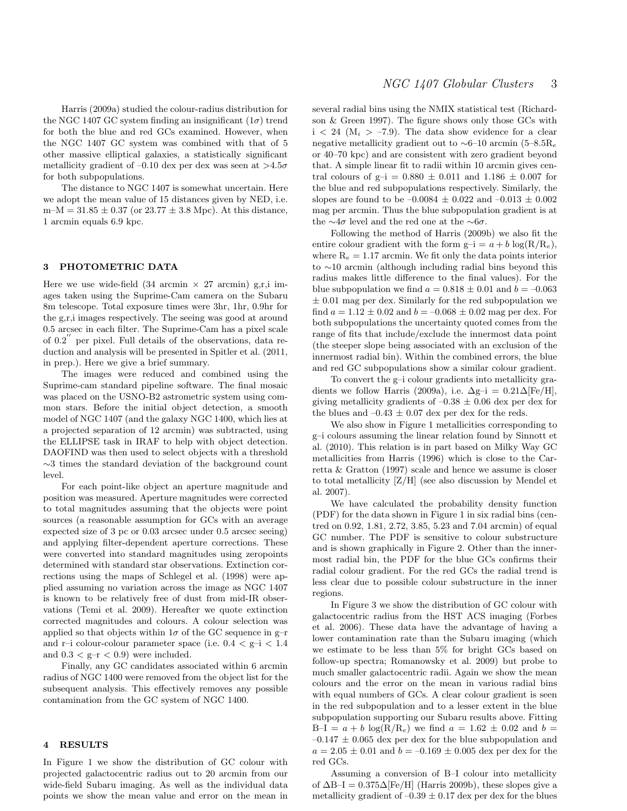Harris (2009a) studied the colour-radius distribution for the NGC 1407 GC system finding an insignificant  $(1\sigma)$  trend for both the blue and red GCs examined. However, when the NGC 1407 GC system was combined with that of 5 other massive elliptical galaxies, a statistically significant metallicity gradient of  $-0.10$  dex per dex was seen at  $>4.5\sigma$ for both subpopulations.

The distance to NGC 1407 is somewhat uncertain. Here we adopt the mean value of 15 distances given by NED, i.e.  $m-M = 31.85 \pm 0.37$  (or  $23.77 \pm 3.8$  Mpc). At this distance, 1 arcmin equals 6.9 kpc.

#### 3 PHOTOMETRIC DATA

Here we use wide-field  $(34 \text{ arcmin} \times 27 \text{ arcmin})$  g,r,i images taken using the Suprime-Cam camera on the Subaru 8m telescope. Total exposure times were 3hr, 1hr, 0.9hr for the g,r,i images respectively. The seeing was good at around 0.5 arcsec in each filter. The Suprime-Cam has a pixel scale of 0.2′′ per pixel. Full details of the observations, data reduction and analysis will be presented in Spitler et al. (2011, in prep.). Here we give a brief summary.

The images were reduced and combined using the Suprime-cam standard pipeline software. The final mosaic was placed on the USNO-B2 astrometric system using common stars. Before the initial object detection, a smooth model of NGC 1407 (and the galaxy NGC 1400, which lies at a projected separation of 12 arcmin) was subtracted, using the ELLIPSE task in IRAF to help with object detection. DAOFIND was then used to select objects with a threshold ∼3 times the standard deviation of the background count level.

For each point-like object an aperture magnitude and position was measured. Aperture magnitudes were corrected to total magnitudes assuming that the objects were point sources (a reasonable assumption for GCs with an average expected size of 3 pc or 0.03 arcsec under 0.5 arcsec seeing) and applying filter-dependent aperture corrections. These were converted into standard magnitudes using zeropoints determined with standard star observations. Extinction corrections using the maps of Schlegel et al. (1998) were applied assuming no variation across the image as NGC 1407 is known to be relatively free of dust from mid-IR observations (Temi et al. 2009). Hereafter we quote extinction corrected magnitudes and colours. A colour selection was applied so that objects within  $1\sigma$  of the GC sequence in g-r and r–i colour-colour parameter space (i.e.  $0.4 < g$ –i  $< 1.4$ and  $0.3 < g-r < 0.9$ ) were included.

Finally, any GC candidates associated within 6 arcmin radius of NGC 1400 were removed from the object list for the subsequent analysis. This effectively removes any possible contamination from the GC system of NGC 1400.

#### 4 RESULTS

In Figure 1 we show the distribution of GC colour with projected galactocentric radius out to 20 arcmin from our wide-field Subaru imaging. As well as the individual data points we show the mean value and error on the mean in

several radial bins using the NMIX statistical test (Richardson & Green 1997). The figure shows only those GCs with  $i < 24$  ( $M_i > -7.9$ ). The data show evidence for a clear negative metallicity gradient out to  $\sim$ 6–10 arcmin (5–8.5R<sub>e</sub> or 40–70 kpc) and are consistent with zero gradient beyond that. A simple linear fit to radii within 10 arcmin gives central colours of  $g-i = 0.880 \pm 0.011$  and  $1.186 \pm 0.007$  for the blue and red subpopulations respectively. Similarly, the slopes are found to be  $-0.0084 \pm 0.022$  and  $-0.013 \pm 0.002$ mag per arcmin. Thus the blue subpopulation gradient is at the  $\sim$ 4σ level and the red one at the  $\sim$ 6σ.

Following the method of Harris (2009b) we also fit the entire colour gradient with the form  $g-i = a + b \log(R/R_e)$ , where  $R_e = 1.17$  arcmin. We fit only the data points interior to ∼10 arcmin (although including radial bins beyond this radius makes little difference to the final values). For the blue subpopulation we find  $a = 0.818 \pm 0.01$  and  $b = -0.063$  $\pm$  0.01 mag per dex. Similarly for the red subpopulation we find  $a = 1.12 \pm 0.02$  and  $b = -0.068 \pm 0.02$  mag per dex. For both subpopulations the uncertainty quoted comes from the range of fits that include/exclude the innermost data point (the steeper slope being associated with an exclusion of the innermost radial bin). Within the combined errors, the blue and red GC subpopulations show a similar colour gradient.

To convert the g–i colour gradients into metallicity gradients we follow Harris (2009a), i.e.  $\Delta g$ –i = 0.21 $\Delta$ [Fe/H], giving metallicity gradients of  $-0.38 \pm 0.06$  dex per dex for the blues and  $-0.43 \pm 0.07$  dex per dex for the reds.

We also show in Figure 1 metallicities corresponding to g–i colours assuming the linear relation found by Sinnott et al. (2010). This relation is in part based on Milky Way GC metallicities from Harris (1996) which is close to the Carretta & Gratton (1997) scale and hence we assume is closer to total metallicity  $[Z/H]$  (see also discussion by Mendel et al. 2007).

We have calculated the probability density function (PDF) for the data shown in Figure 1 in six radial bins (centred on 0.92, 1.81, 2.72, 3.85, 5.23 and 7.04 arcmin) of equal GC number. The PDF is sensitive to colour substructure and is shown graphically in Figure 2. Other than the innermost radial bin, the PDF for the blue GCs confirms their radial colour gradient. For the red GCs the radial trend is less clear due to possible colour substructure in the inner regions.

In Figure 3 we show the distribution of GC colour with galactocentric radius from the HST ACS imaging (Forbes et al. 2006). These data have the advantage of having a lower contamination rate than the Subaru imaging (which we estimate to be less than 5% for bright GCs based on follow-up spectra; Romanowsky et al. 2009) but probe to much smaller galactocentric radii. Again we show the mean colours and the error on the mean in various radial bins with equal numbers of GCs. A clear colour gradient is seen in the red subpopulation and to a lesser extent in the blue subpopulation supporting our Subaru results above. Fitting B–I =  $a + b \log(R/R_e)$  we find  $a = 1.62 \pm 0.02$  and  $b =$  $-0.147 \pm 0.065$  dex per dex for the blue subpopulation and  $a = 2.05 \pm 0.01$  and  $b = -0.169 \pm 0.005$  dex per dex for the red GCs.

Assuming a conversion of B–I colour into metallicity of  $\Delta B-I = 0.375\Delta [Fe/H]$  (Harris 2009b), these slopes give a metallicity gradient of  $-0.39 \pm 0.17$  dex per dex for the blues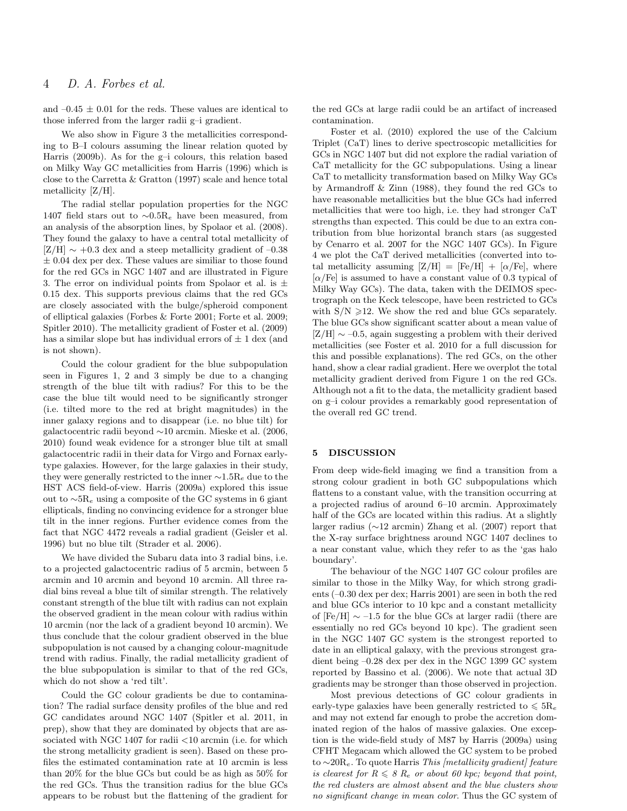and  $-0.45 \pm 0.01$  for the reds. These values are identical to those inferred from the larger radii g–i gradient.

We also show in Figure 3 the metallicities corresponding to B–I colours assuming the linear relation quoted by Harris (2009b). As for the g–i colours, this relation based on Milky Way GC metallicities from Harris (1996) which is close to the Carretta & Gratton (1997) scale and hence total metallicity [Z/H].

The radial stellar population properties for the NGC 1407 field stars out to  $\sim 0.5R_e$  have been measured, from an analysis of the absorption lines, by Spolaor et al. (2008). They found the galaxy to have a central total metallicity of  $[Z/H] \sim +0.3$  dex and a steep metallicity gradient of –0.38  $\pm$  0.04 dex per dex. These values are similiar to those found for the red GCs in NGC 1407 and are illustrated in Figure 3. The error on individual points from Spolaor et al. is  $\pm$ 0.15 dex. This supports previous claims that the red GCs are closely associated with the bulge/spheroid component of elliptical galaxies (Forbes & Forte 2001; Forte et al. 2009; Spitler 2010). The metallicity gradient of Foster et al. (2009) has a similar slope but has individual errors of  $\pm$  1 dex (and is not shown).

Could the colour gradient for the blue subpopulation seen in Figures 1, 2 and 3 simply be due to a changing strength of the blue tilt with radius? For this to be the case the blue tilt would need to be significantly stronger (i.e. tilted more to the red at bright magnitudes) in the inner galaxy regions and to disappear (i.e. no blue tilt) for galactocentric radii beyond ∼10 arcmin. Mieske et al. (2006, 2010) found weak evidence for a stronger blue tilt at small galactocentric radii in their data for Virgo and Fornax earlytype galaxies. However, for the large galaxies in their study, they were generally restricted to the inner  $\sim 1.5R_e$  due to the HST ACS field-of-view. Harris (2009a) explored this issue out to  $~\sim 5R_e$  using a composite of the GC systems in 6 giant ellipticals, finding no convincing evidence for a stronger blue tilt in the inner regions. Further evidence comes from the fact that NGC 4472 reveals a radial gradient (Geisler et al. 1996) but no blue tilt (Strader et al. 2006).

We have divided the Subaru data into 3 radial bins, i.e. to a projected galactocentric radius of 5 arcmin, between 5 arcmin and 10 arcmin and beyond 10 arcmin. All three radial bins reveal a blue tilt of similar strength. The relatively constant strength of the blue tilt with radius can not explain the observed gradient in the mean colour with radius within 10 arcmin (nor the lack of a gradient beyond 10 arcmin). We thus conclude that the colour gradient observed in the blue subpopulation is not caused by a changing colour-magnitude trend with radius. Finally, the radial metallicity gradient of the blue subpopulation is similar to that of the red GCs, which do not show a 'red tilt'.

Could the GC colour gradients be due to contamination? The radial surface density profiles of the blue and red GC candidates around NGC 1407 (Spitler et al. 2011, in prep), show that they are dominated by objects that are associated with NGC 1407 for radii  $\langle 10 \rangle$  arcmin (i.e. for which the strong metallicity gradient is seen). Based on these profiles the estimated contamination rate at 10 arcmin is less than 20% for the blue GCs but could be as high as 50% for the red GCs. Thus the transition radius for the blue GCs appears to be robust but the flattening of the gradient for

the red GCs at large radii could be an artifact of increased contamination.

Foster et al. (2010) explored the use of the Calcium Triplet (CaT) lines to derive spectroscopic metallicities for GCs in NGC 1407 but did not explore the radial variation of CaT metallicity for the GC subpopulations. Using a linear CaT to metallicity transformation based on Milky Way GCs by Armandroff & Zinn (1988), they found the red GCs to have reasonable metallicities but the blue GCs had inferred metallicities that were too high, i.e. they had stronger CaT strengths than expected. This could be due to an extra contribution from blue horizontal branch stars (as suggested by Cenarro et al. 2007 for the NGC 1407 GCs). In Figure 4 we plot the CaT derived metallicities (converted into total metallicity assuming  $[Z/H] = [Fe/H] + [\alpha/Fe]$ , where  $\alpha$ /Fe] is assumed to have a constant value of 0.3 typical of Milky Way GCs). The data, taken with the DEIMOS spectrograph on the Keck telescope, have been restricted to GCs with  $S/N \geq 12$ . We show the red and blue GCs separately. The blue GCs show significant scatter about a mean value of  $[Z/H] \sim -0.5$ , again suggesting a problem with their derived metallicities (see Foster et al. 2010 for a full discussion for this and possible explanations). The red GCs, on the other hand, show a clear radial gradient. Here we overplot the total metallicity gradient derived from Figure 1 on the red GCs. Although not a fit to the data, the metallicity gradient based on g–i colour provides a remarkably good representation of the overall red GC trend.

## 5 DISCUSSION

From deep wide-field imaging we find a transition from a strong colour gradient in both GC subpopulations which flattens to a constant value, with the transition occurring at a projected radius of around 6–10 arcmin. Approximately half of the GCs are located within this radius. At a slightly larger radius (∼12 arcmin) Zhang et al. (2007) report that the X-ray surface brightness around NGC 1407 declines to a near constant value, which they refer to as the 'gas halo boundary'.

The behaviour of the NGC 1407 GC colour profiles are similar to those in the Milky Way, for which strong gradients (–0.30 dex per dex; Harris 2001) are seen in both the red and blue GCs interior to 10 kpc and a constant metallicity of  $[Fe/H] \sim -1.5$  for the blue GCs at larger radii (there are essentially no red GCs beyond 10 kpc). The gradient seen in the NGC 1407 GC system is the strongest reported to date in an elliptical galaxy, with the previous strongest gradient being –0.28 dex per dex in the NGC 1399 GC system reported by Bassino et al. (2006). We note that actual 3D gradients may be stronger than those observed in projection.

Most previous detections of GC colour gradients in early-type galaxies have been generally restricted to  $\leq 5R_e$ and may not extend far enough to probe the accretion dominated region of the halos of massive galaxies. One exception is the wide-field study of M87 by Harris (2009a) using CFHT Megacam which allowed the GC system to be probed to  $\sim$ 20R<sub>e</sub>. To quote Harris *This [metallicity gradient] feature* is clearest for  $R \leqslant 8$   $R_e$  or about 60 kpc; beyond that point, the red clusters are almost absent and the blue clusters show no significant change in mean color. Thus the GC system of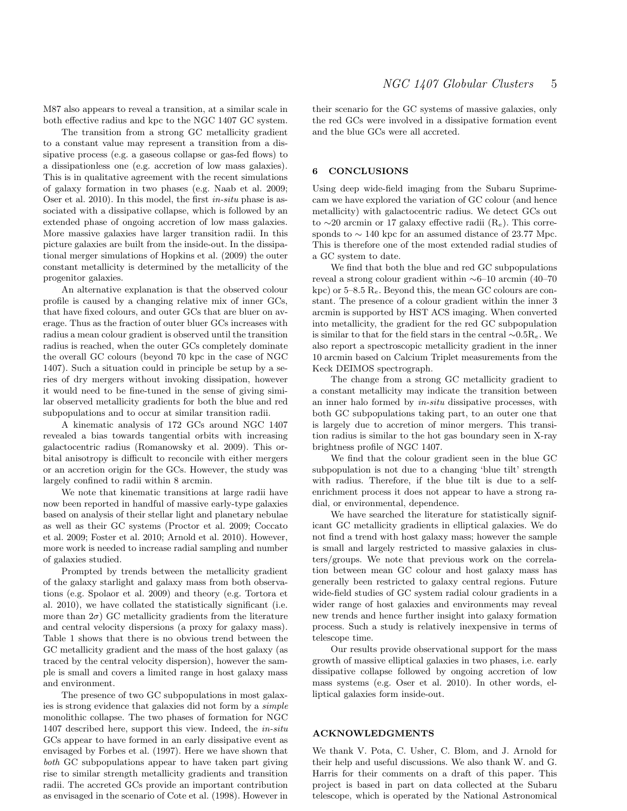M87 also appears to reveal a transition, at a similar scale in both effective radius and kpc to the NGC 1407 GC system.

The transition from a strong GC metallicity gradient to a constant value may represent a transition from a dissipative process (e.g. a gaseous collapse or gas-fed flows) to a dissipationless one (e.g. accretion of low mass galaxies). This is in qualitative agreement with the recent simulations of galaxy formation in two phases (e.g. Naab et al. 2009; Oser et al. 2010). In this model, the first in-situ phase is associated with a dissipative collapse, which is followed by an extended phase of ongoing accretion of low mass galaxies. More massive galaxies have larger transition radii. In this picture galaxies are built from the inside-out. In the dissipational merger simulations of Hopkins et al. (2009) the outer constant metallicity is determined by the metallicity of the progenitor galaxies.

An alternative explanation is that the observed colour profile is caused by a changing relative mix of inner GCs, that have fixed colours, and outer GCs that are bluer on average. Thus as the fraction of outer bluer GCs increases with radius a mean colour gradient is observed until the transition radius is reached, when the outer GCs completely dominate the overall GC colours (beyond 70 kpc in the case of NGC 1407). Such a situation could in principle be setup by a series of dry mergers without invoking dissipation, however it would need to be fine-tuned in the sense of giving similar observed metallicity gradients for both the blue and red subpopulations and to occur at similar transition radii.

A kinematic analysis of 172 GCs around NGC 1407 revealed a bias towards tangential orbits with increasing galactocentric radius (Romanowsky et al. 2009). This orbital anisotropy is difficult to reconcile with either mergers or an accretion origin for the GCs. However, the study was largely confined to radii within 8 arcmin.

We note that kinematic transitions at large radii have now been reported in handful of massive early-type galaxies based on analysis of their stellar light and planetary nebulae as well as their GC systems (Proctor et al. 2009; Coccato et al. 2009; Foster et al. 2010; Arnold et al. 2010). However, more work is needed to increase radial sampling and number of galaxies studied.

Prompted by trends between the metallicity gradient of the galaxy starlight and galaxy mass from both observations (e.g. Spolaor et al. 2009) and theory (e.g. Tortora et al. 2010), we have collated the statistically significant (i.e. more than  $2\sigma$ ) GC metallicity gradients from the literature and central velocity dispersions (a proxy for galaxy mass). Table 1 shows that there is no obvious trend between the GC metallicity gradient and the mass of the host galaxy (as traced by the central velocity dispersion), however the sample is small and covers a limited range in host galaxy mass and environment.

The presence of two GC subpopulations in most galaxies is strong evidence that galaxies did not form by a simple monolithic collapse. The two phases of formation for NGC 1407 described here, support this view. Indeed, the in-situ GCs appear to have formed in an early dissipative event as envisaged by Forbes et al. (1997). Here we have shown that both GC subpopulations appear to have taken part giving rise to similar strength metallicity gradients and transition radii. The accreted GCs provide an important contribution as envisaged in the scenario of Cote et al. (1998). However in their scenario for the GC systems of massive galaxies, only the red GCs were involved in a dissipative formation event and the blue GCs were all accreted.

# 6 CONCLUSIONS

Using deep wide-field imaging from the Subaru Suprimecam we have explored the variation of GC colour (and hence metallicity) with galactocentric radius. We detect GCs out to ∼20 arcmin or 17 galaxy effective radii  $(R_e)$ . This corresponds to  $\sim$  140 kpc for an assumed distance of 23.77 Mpc. This is therefore one of the most extended radial studies of a GC system to date.

We find that both the blue and red GC subpopulations reveal a strong colour gradient within ∼6–10 arcmin (40–70 kpc) or  $5-8.5$  R<sub>e</sub>. Beyond this, the mean GC colours are constant. The presence of a colour gradient within the inner 3 arcmin is supported by HST ACS imaging. When converted into metallicity, the gradient for the red GC subpopulation is similar to that for the field stars in the central  $\sim 0.5R_e$ . We also report a spectroscopic metallicity gradient in the inner 10 arcmin based on Calcium Triplet measurements from the Keck DEIMOS spectrograph.

The change from a strong GC metallicity gradient to a constant metallicity may indicate the transition between an inner halo formed by in-situ dissipative processes, with both GC subpopulations taking part, to an outer one that is largely due to accretion of minor mergers. This transition radius is similar to the hot gas boundary seen in X-ray brightness profile of NGC 1407.

We find that the colour gradient seen in the blue GC subpopulation is not due to a changing 'blue tilt' strength with radius. Therefore, if the blue tilt is due to a selfenrichment process it does not appear to have a strong radial, or environmental, dependence.

We have searched the literature for statistically significant GC metallicity gradients in elliptical galaxies. We do not find a trend with host galaxy mass; however the sample is small and largely restricted to massive galaxies in clusters/groups. We note that previous work on the correlation between mean GC colour and host galaxy mass has generally been restricted to galaxy central regions. Future wide-field studies of GC system radial colour gradients in a wider range of host galaxies and environments may reveal new trends and hence further insight into galaxy formation process. Such a study is relatively inexpensive in terms of telescope time.

Our results provide observational support for the mass growth of massive elliptical galaxies in two phases, i.e. early dissipative collapse followed by ongoing accretion of low mass systems (e.g. Oser et al. 2010). In other words, elliptical galaxies form inside-out.

# ACKNOWLEDGMENTS

We thank V. Pota, C. Usher, C. Blom, and J. Arnold for their help and useful discussions. We also thank W. and G. Harris for their comments on a draft of this paper. This project is based in part on data collected at the Subaru telescope, which is operated by the National Astronomical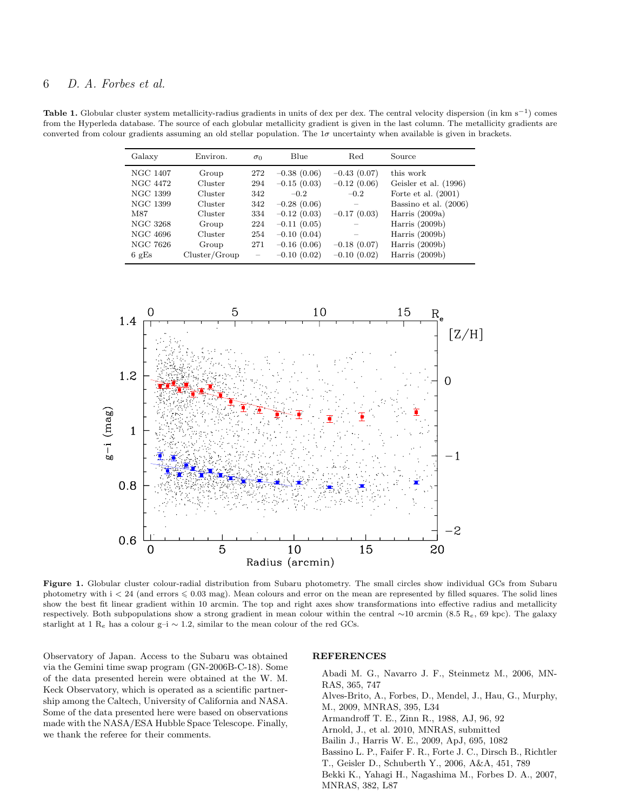Table 1. Globular cluster system metallicity-radius gradients in units of dex per dex. The central velocity dispersion (in km s<sup>-1</sup>) comes from the Hyperleda database. The source of each globular metallicity gradient is given in the last column. The metallicity gradients are converted from colour gradients assuming an old stellar population. The  $1\sigma$  uncertainty when available is given in brackets.

| Galaxy          | Environ.      | $\sigma_0$               | Blue          | Red           | Source                |
|-----------------|---------------|--------------------------|---------------|---------------|-----------------------|
| NGC 1407        | Group         | 272                      | $-0.38(0.06)$ | $-0.43(0.07)$ | this work             |
| NGC 4472        | Cluster       | 294                      | $-0.15(0.03)$ | $-0.12(0.06)$ | Geisler et al. (1996) |
| NGC 1399        | Cluster       | 342                      | $-0.2$        | $-0.2$        | Forte et al. $(2001)$ |
| NGC 1399        | Cluster       | 342                      | $-0.28(0.06)$ |               | Bassino et al. (2006) |
| M87             | Cluster       | 334                      | $-0.12(0.03)$ | $-0.17(0.03)$ | Harris $(2009a)$      |
| NGC 3268        | Group         | 224                      | $-0.11(0.05)$ |               | Harris $(2009b)$      |
| NGC 4696        | Cluster       | 254                      | $-0.10(0.04)$ |               | Harris $(2009b)$      |
| NGC 7626        | Group         | 271                      | $-0.16(0.06)$ | $-0.18(0.07)$ | Harris $(2009b)$      |
| $6 \text{ gEs}$ | Cluster/Group | $\overline{\phantom{m}}$ | $-0.10(0.02)$ | $-0.10(0.02)$ | Harris $(2009b)$      |



Figure 1. Globular cluster colour-radial distribution from Subaru photometry. The small circles show individual GCs from Subaru photometry with  $i < 24$  (and errors  $\leq 0.03$  mag). Mean colours and error on the mean are represented by filled squares. The solid lines show the best fit linear gradient within 10 arcmin. The top and right axes show transformations into effective radius and metallicity respectively. Both subpopulations show a strong gradient in mean colour within the central ∼10 arcmin (8.5 Re, 69 kpc). The galaxy starlight at 1 R<sub>e</sub> has a colour g–i  $\sim$  1.2, similar to the mean colour of the red GCs.

Observatory of Japan. Access to the Subaru was obtained via the Gemini time swap program (GN-2006B-C-18). Some of the data presented herein were obtained at the W. M. Keck Observatory, which is operated as a scientific partnership among the Caltech, University of California and NASA. Some of the data presented here were based on observations made with the NASA/ESA Hubble Space Telescope. Finally, we thank the referee for their comments.

## **REFERENCES**

Abadi M. G., Navarro J. F., Steinmetz M., 2006, MN-RAS, 365, 747 Alves-Brito, A., Forbes, D., Mendel, J., Hau, G., Murphy, M., 2009, MNRAS, 395, L34 Armandroff T. E., Zinn R., 1988, AJ, 96, 92 Arnold, J., et al. 2010, MNRAS, submitted Bailin J., Harris W. E., 2009, ApJ, 695, 1082 Bassino L. P., Faifer F. R., Forte J. C., Dirsch B., Richtler T., Geisler D., Schuberth Y., 2006, A&A, 451, 789 Bekki K., Yahagi H., Nagashima M., Forbes D. A., 2007, MNRAS, 382, L87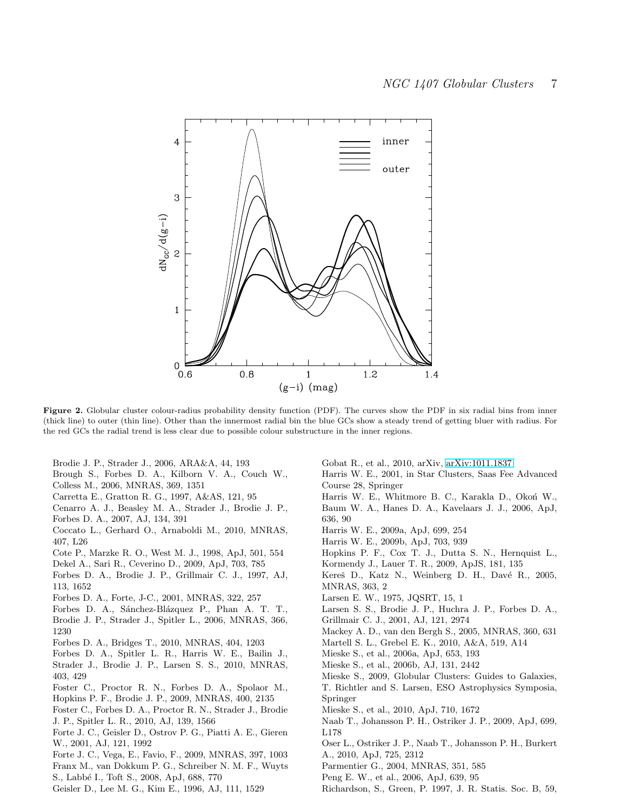

Figure 2. Globular cluster colour-radius probability density function (PDF). The curves show the PDF in six radial bins from inner (thick line) to outer (thin line). Other than the innermost radial bin the blue GCs show a steady trend of getting bluer with radius. For the red GCs the radial trend is less clear due to possible colour substructure in the inner regions.

Brodie J. P., Strader J., 2006, ARA&A, 44, 193

- Brough S., Forbes D. A., Kilborn V. A., Couch W.,
- Colless M., 2006, MNRAS, 369, 1351
- Carretta E., Gratton R. G., 1997, A&AS, 121, 95
- Cenarro A. J., Beasley M. A., Strader J., Brodie J. P., Forbes D. A., 2007, AJ, 134, 391
- Coccato L., Gerhard O., Arnaboldi M., 2010, MNRAS, 407, L26
- Cote P., Marzke R. O., West M. J., 1998, ApJ, 501, 554
- Dekel A., Sari R., Ceverino D., 2009, ApJ, 703, 785
- Forbes D. A., Brodie J. P., Grillmair C. J., 1997, AJ, 113, 1652
- Forbes D. A., Forte, J-C., 2001, MNRAS, 322, 257
- Forbes D. A., Sánchez-Blázquez P., Phan A. T. T.,
- Brodie J. P., Strader J., Spitler L., 2006, MNRAS, 366, 1230
- Forbes D. A., Bridges T., 2010, MNRAS, 404, 1203
- Forbes D. A., Spitler L. R., Harris W. E., Bailin J., Strader J., Brodie J. P., Larsen S. S., 2010, MNRAS, 403, 429
- Foster C., Proctor R. N., Forbes D. A., Spolaor M., Hopkins P. F., Brodie J. P., 2009, MNRAS, 400, 2135
- Foster C., Forbes D. A., Proctor R. N., Strader J., Brodie
- J. P., Spitler L. R., 2010, AJ, 139, 1566
- Forte J. C., Geisler D., Ostrov P. G., Piatti A. E., Gieren W., 2001, AJ, 121, 1992
- Forte J. C., Vega, E., Favio, F., 2009, MNRAS, 397, 1003 Franx M., van Dokkum P. G., Schreiber N. M. F., Wuyts
- S., Labb´e I., Toft S., 2008, ApJ, 688, 770
- Geisler D., Lee M. G., Kim E., 1996, AJ, 111, 1529
- Gobat R., et al., 2010, arXiv, [arXiv:1011.1837](http://arxiv.org/abs/1011.1837)
- Harris W. E., 2001, in Star Clusters, Saas Fee Advanced Course 28, Springer
- Harris W. E., Whitmore B. C., Karakla D., Okoń W.,
- Baum W. A., Hanes D. A., Kavelaars J. J., 2006, ApJ, 636, 90
- Harris W. E., 2009a, ApJ, 699, 254
- Harris W. E., 2009b, ApJ, 703, 939
- Hopkins P. F., Cox T. J., Dutta S. N., Hernquist L., Kormendy J., Lauer T. R., 2009, ApJS, 181, 135
- 
- Kereš D., Katz N., Weinberg D. H., Davé R., 2005, MNRAS, 363, 2
- Larsen E. W., 1975, JQSRT, 15, 1
- Larsen S. S., Brodie J. P., Huchra J. P., Forbes D. A., Grillmair C. J., 2001, AJ, 121, 2974
- Mackey A. D., van den Bergh S., 2005, MNRAS, 360, 631
- Martell S. L., Grebel E. K., 2010, A&A, 519, A14
- Mieske S., et al., 2006a, ApJ, 653, 193
- Mieske S., et al., 2006b, AJ, 131, 2442
- Mieske S., 2009, Globular Clusters: Guides to Galaxies,
- T. Richtler and S. Larsen, ESO Astrophysics Symposia, Springer
- Mieske S., et al., 2010, ApJ, 710, 1672
- Naab T., Johansson P. H., Ostriker J. P., 2009, ApJ, 699, L178
- Oser L., Ostriker J. P., Naab T., Johansson P. H., Burkert A., 2010, ApJ, 725, 2312
- Parmentier G., 2004, MNRAS, 351, 585
- Peng E. W., et al., 2006, ApJ, 639, 95
- Richardson, S., Green, P. 1997, J. R. Statis. Soc. B, 59,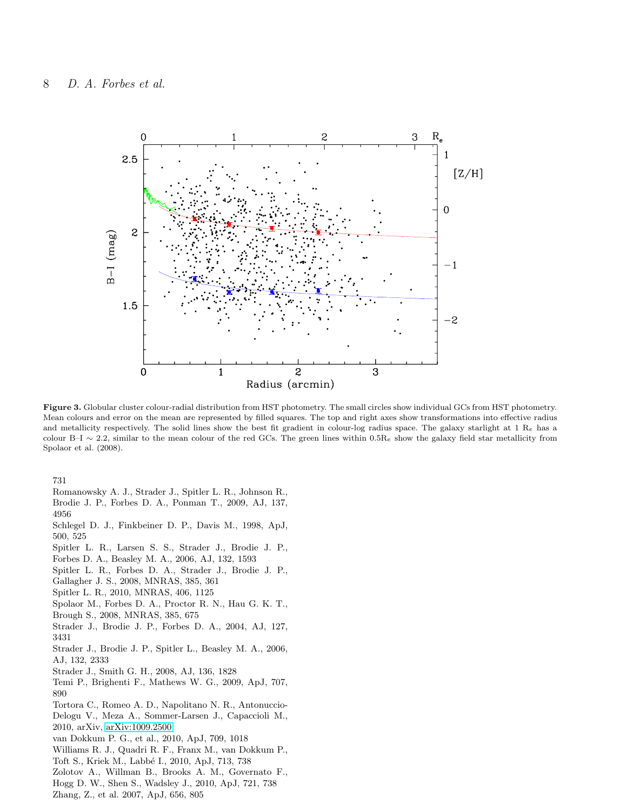

Figure 3. Globular cluster colour-radial distribution from HST photometry. The small circles show individual GCs from HST photometry. Mean colours and error on the mean are represented by filled squares. The top and right axes show transformations into effective radius and metallicity respectively. The solid lines show the best fit gradient in colour-log radius space. The galaxy starlight at  $1 \text{ R}_e$  has a colour B–I ~ 2.2, similar to the mean colour of the red GCs. The green lines within 0.5R<sub>e</sub> show the galaxy field star metallicity from Spolaor et al. (2008).

731

- Romanowsky A. J., Strader J., Spitler L. R., Johnson R., Brodie J. P., Forbes D. A., Ponman T., 2009, AJ, 137,
- 4956
- Schlegel D. J., Finkbeiner D. P., Davis M., 1998, ApJ, 500, 525
- Spitler L. R., Larsen S. S., Strader J., Brodie J. P.,
- Forbes D. A., Beasley M. A., 2006, AJ, 132, 1593
- Spitler L. R., Forbes D. A., Strader J., Brodie J. P.,
- Gallagher J. S., 2008, MNRAS, 385, 361
- Spitler L. R., 2010, MNRAS, 406, 1125
- Spolaor M., Forbes D. A., Proctor R. N., Hau G. K. T.,
- Brough S., 2008, MNRAS, 385, 675
- Strader J., Brodie J. P., Forbes D. A., 2004, AJ, 127, 3431
- Strader J., Brodie J. P., Spitler L., Beasley M. A., 2006, AJ, 132, 2333
- Strader J., Smith G. H., 2008, AJ, 136, 1828
- Temi P., Brighenti F., Mathews W. G., 2009, ApJ, 707, 890
- Tortora C., Romeo A. D., Napolitano N. R., Antonuccio-Delogu V., Meza A., Sommer-Larsen J., Capaccioli M.,
- 2010, arXiv, [arXiv:1009.2500](http://arxiv.org/abs/1009.2500) van Dokkum P. G., et al., 2010, ApJ, 709, 1018
- Williams R. J., Quadri R. F., Franx M., van Dokkum P.,
- Toft S., Kriek M., Labb´e I., 2010, ApJ, 713, 738
- Zolotov A., Willman B., Brooks A. M., Governato F.,
- Hogg D. W., Shen S., Wadsley J., 2010, ApJ, 721, 738
- Zhang, Z., et al. 2007, ApJ, 656, 805